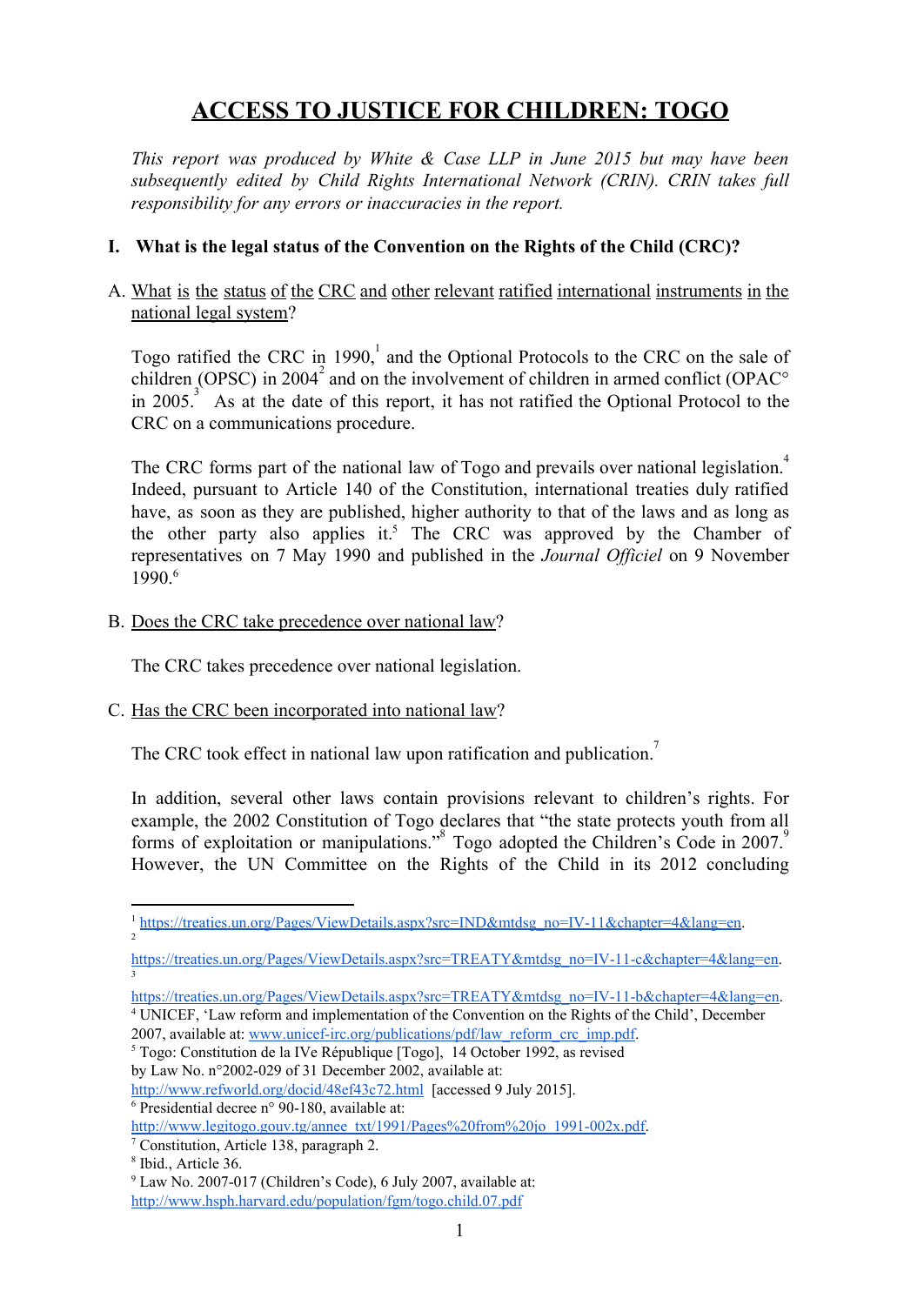# **ACCESS TO JUSTICE FOR CHILDREN: TOGO**

*This report was produced by White & Case LLP in June 2015 but may have been subsequently edited by Child Rights International Network (CRIN). CRIN takes full responsibility for any errors or inaccuracies in the report.*

# **I. What is the legal status of the Convention on the Rights of the Child (CRC)?**

# A. What is the status of the CRC and other relevant ratified international instruments in the national legal system?

Togo ratified the CRC in 1990, and the Optional Protocols to the CRC on the sale of children (OPSC) in 2004<sup>2</sup> and on the involvement of children in armed conflict (OPAC $\degree$ in 2005.<sup>3</sup> As at the date of this report, it has not ratified the Optional Protocol to the CRC on a communications procedure.

The CRC forms part of the national law of Togo and prevails over national legislation.<sup>4</sup> Indeed, pursuant to Article 140 of the Constitution, international treaties duly ratified have, as soon as they are published, higher authority to that of the laws and as long as the other party also applies it.<sup>5</sup> The CRC was approved by the Chamber of representatives on 7 May 1990 and published in the *Journal Officiel* on 9 November 1990. 6

B. Does the CRC take precedence over national law?

The CRC takes precedence over national legislation.

C. Has the CRC been incorporated into national law?

The CRC took effect in national law upon ratification and publication.<sup>7</sup>

In addition, several other laws contain provisions relevant to children's rights. For example, the 2002 Constitution of Togo declares that "the state protects youth from all forms of exploitation or manipulations.<sup>38</sup> Togo adopted the Children's Code in 2007.<sup>9</sup> However, the UN Committee on the Rights of the Child in its 2012 concluding

https://treaties.un.org/Pages/ViewDetails.aspx?src=TREATY&mtdsg\_no=IV-11-c&chapter=4&lang=en. 3

 $6$  Presidential decree n° 90-180, available at:

http://www.legitogo.gouv.tg/annee\_txt/1991/Pages%20from%20jo\_1991-002x.pdf.

<sup>&</sup>lt;sup>1</sup> https://treaties.un.org/Pages/ViewDetails.aspx?src=IND&mtdsg\_no=IV-11&chapter=4&lang=en. 2

https://treaties.un.org/Pages/ViewDetails.aspx?src=TREATY&mtdsg\_no=IV-11-b&chapter=4&lang=en.

<sup>4</sup> UNICEF, 'Law reform and implementation of the Convention on the Rights of the Child', December 2007, available at: www.unicef-irc.org/publications/pdf/law\_reform\_crc\_imp.pdf.

<sup>5</sup> Togo: Constitution de la IVe République [Togo], 14 October 1992, as revised

by Law No.  $n^{\circ}2002$ -029 of 31 December 2002, available at:

<http://www.refworld.org/docid/48ef43c72.html> [accessed 9 July 2015].

<sup>7</sup> Constitution, Article 138, paragraph 2.

<sup>8</sup> Ibid., Article 36.

 $9$  Law No. 2007-017 (Children's Code), 6 July 2007, available at:

<http://www.hsph.harvard.edu/population/fgm/togo.child.07.pdf>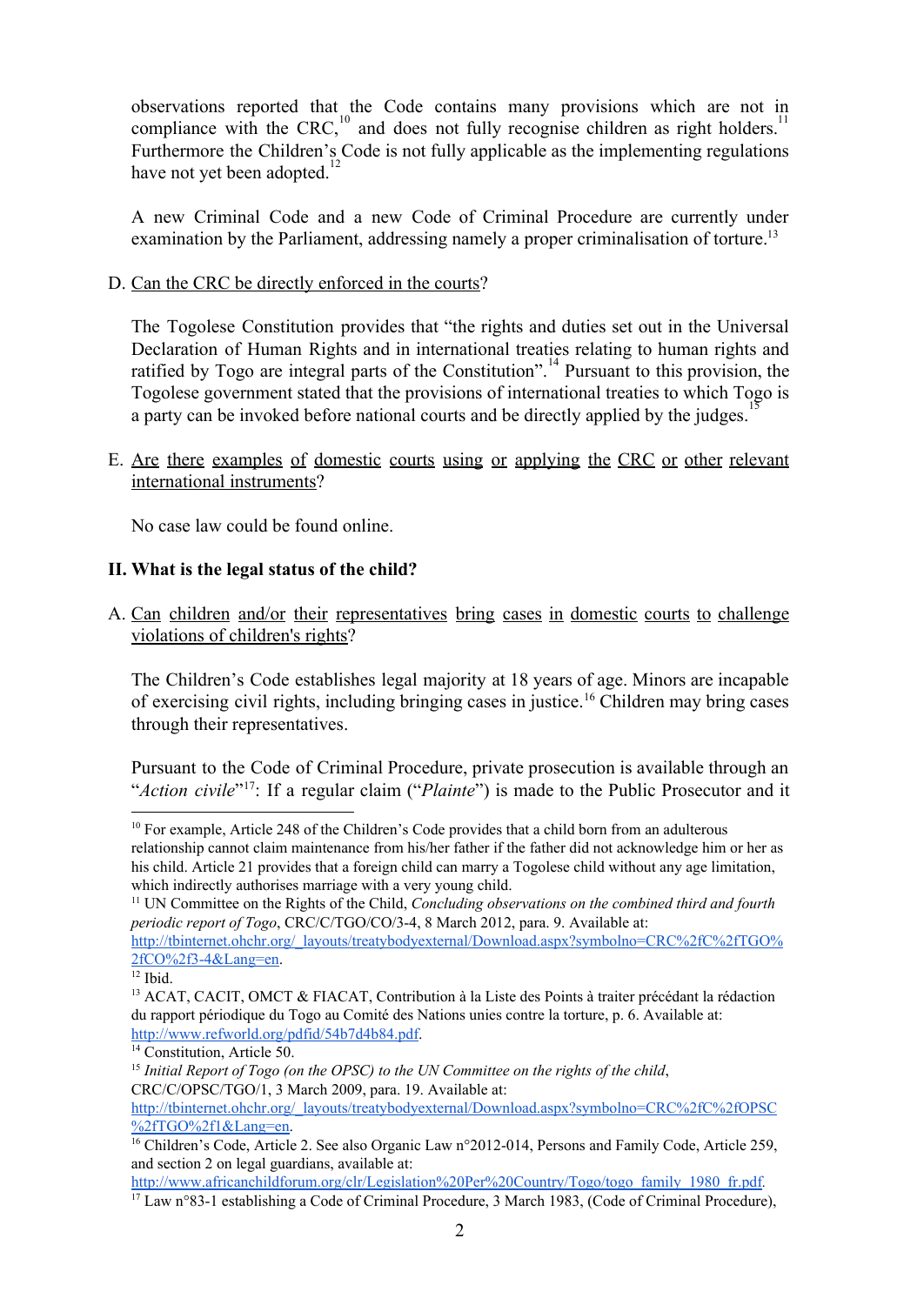observations reported that the Code contains many provisions which are not in compliance with the CRC, $^{10}$  and does not fully recognise children as right holders.<sup>11</sup> Furthermore the Children's Code is not fully applicable as the implementing regulations have not yet been adopted.<sup>12</sup>

A new Criminal Code and a new Code of Criminal Procedure are currently under examination by the Parliament, addressing namely a proper criminalisation of torture.<sup>13</sup>

D. Can the CRC be directly enforced in the courts?

The Togolese Constitution provides that "the rights and duties set out in the Universal Declaration of Human Rights and in international treaties relating to human rights and ratified by Togo are integral parts of the Constitution".<sup>14</sup> Pursuant to this provision, the Togolese government stated that the provisions of international treaties to which Togo is a party can be invoked before national courts and be directly applied by the judges.<sup>15</sup>

E. Are there examples of domestic courts using or applying the CRC or other relevant international instruments?

No case law could be found online.

## **II. What is the legal status of the child?**

A. Can children and/or their representatives bring cases in domestic courts to challenge violations of children's rights?

The Children's Code establishes legal majority at 18 years of age. Minors are incapable of exercising civil rights, including bringing cases in justice.<sup>16</sup> Children may bring cases through their representatives.

Pursuant to the Code of Criminal Procedure, private prosecution is available through an "Action civile"<sup>17</sup>: If a regular claim ("*Plainte*") is made to the Public Prosecutor and it

15 *Initial Report of Togo (on the OPSC) to the UN Committee on the rights of the child*, CRC/C/OPSC/TGO/1, 3 March 2009, para. 19. Available at:

[http://www.africanchildforum.org/clr/Legislation%20Per%20Country/Togo/togo\\_family\\_1980\\_fr.pdf](http://www.africanchildforum.org/clr/Legislation%20Per%20Country/Togo/togo_family_1980_fr.pdf)*.*

<sup>&</sup>lt;sup>10</sup> For example, Article 248 of the Children's Code provides that a child born from an adulterous relationship cannot claim maintenance from his/her father if the father did not acknowledge him or her as his child. Article 21 provides that a foreign child can marry a Togolese child without any age limitation, which indirectly authorises marriage with a very young child.

<sup>11</sup> UN Committee on the Rights of the Child, *Concluding observations on the combined third and fourth periodic report of Togo*, CRC/C/TGO/CO/34, 8 March 2012, para. 9. Available at: [http://tbinternet.ohchr.org/\\_layouts/treatybodyexternal/Download.aspx?symbolno=CRC%2fC%2fTGO%](http://tbinternet.ohchr.org/_layouts/treatybodyexternal/Download.aspx?symbolno=CRC%2fC%2fTGO%2fCO%2f3-4&Lang=en) [2fCO%2f34&Lang=en.](http://tbinternet.ohchr.org/_layouts/treatybodyexternal/Download.aspx?symbolno=CRC%2fC%2fTGO%2fCO%2f3-4&Lang=en)

<sup>12</sup> Ibid.

<sup>&</sup>lt;sup>13</sup> ACAT, CACIT, OMCT & FIACAT, Contribution à la Liste des Points à traiter précédant la rédaction du rapport périodique du Togo au Comité des Nations unies contre la torture, p. 6. Available at: [http://www.refworld.org/pdfid/54b7d4b84.pdf.](http://www.refworld.org/pdfid/54b7d4b84.pdf)

<sup>&</sup>lt;sup>14</sup> Constitution, Article 50.

[http://tbinternet.ohchr.org/\\_layouts/treatybodyexternal/Download.aspx?symbolno=CRC%2fC%2fOPSC](http://tbinternet.ohchr.org/_layouts/treatybodyexternal/Download.aspx?symbolno=CRC%2fC%2fOPSC%2fTGO%2f1&Lang=en) [%2fTGO%2f1&Lang=en.](http://tbinternet.ohchr.org/_layouts/treatybodyexternal/Download.aspx?symbolno=CRC%2fC%2fOPSC%2fTGO%2f1&Lang=en)

<sup>&</sup>lt;sup>16</sup> Children's Code, Article 2. See also Organic Law n°2012-014, Persons and Family Code, Article 259, and section 2 on legal guardians, available at:

<sup>&</sup>lt;sup>17</sup> Law n°83-1 establishing a Code of Criminal Procedure, 3 March 1983, (Code of Criminal Procedure),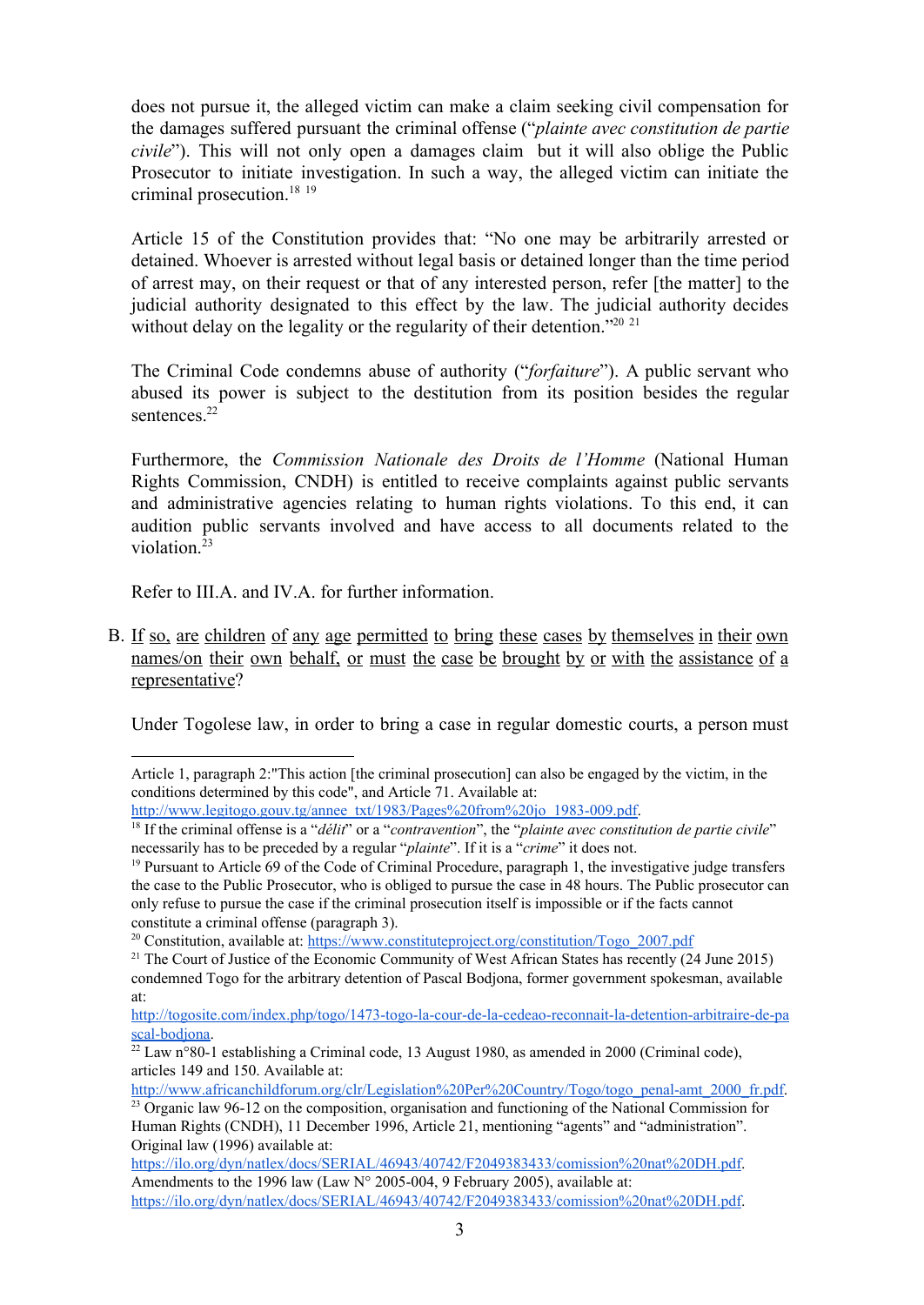does not pursue it, the alleged victim can make a claim seeking civil compensation for the damages suffered pursuant the criminal offense ("*plainte avec constitution de partie civile*"). This will not only open a damages claim but it will also oblige the Public Prosecutor to initiate investigation. In such a way, the alleged victim can initiate the criminal prosecution. 18 19

Article 15 of the Constitution provides that: "No one may be arbitrarily arrested or detained. Whoever is arrested without legal basis or detained longer than the time period of arrest may, on their request or that of any interested person, refer [the matter] to the judicial authority designated to this effect by the law. The judicial authority decides without delay on the legality or the regularity of their detention."<sup>20 21</sup>

The Criminal Code condemns abuse of authority ("*forfaiture*"). A public servant who abused its power is subject to the destitution from its position besides the regular sentences.<sup>22</sup>

Furthermore, the *Commission Nationale des Droits de l'Homme* (National Human Rights Commission, CNDH) is entitled to receive complaints against public servants and administrative agencies relating to human rights violations. To this end, it can audition public servants involved and have access to all documents related to the violation. 23

Refer to III.A. and IV.A. for further information.

B. If so, are children of any age permitted to bring these cases by themselves in their own names/on their own behalf, or must the case be brought by or with the assistance of a representative?

Under Togolese law, in order to bring a case in regular domestic courts, a person must

http://www.africanchildforum.org/clr/Legislation%20Per%20Country/Togo/togo\_penal-amt\_2000\_fr.pdf.

Article 1, paragraph 2:"This action [the criminal prosecution] can also be engaged by the victim, in the conditions determined by this code", and Article 71. Available at:

http://www.legitogo.gouv.tg/annee\_txt/1983/Pages%20from%20jo\_1983-009.pdf.

<sup>18</sup> If the criminal offense is a "*délit*" or a "*contravention*", the "*plainte avec constitution de partie civile*" necessarily has to be preceded by a regular "*plainte*". If it is a "*crime*" it does not.

<sup>19</sup> Pursuant to Article 69 of the Code of Criminal Procedure, paragraph 1, the investigative judge transfers the case to the Public Prosecutor, who is obliged to pursue the case in 48 hours. The Public prosecutor can only refuse to pursue the case if the criminal prosecution itself is impossible or if the facts cannot constitute a criminal offense (paragraph 3).

<sup>&</sup>lt;sup>20</sup> Constitution, available at: [https://www.constituteproject.org/constitution/Togo\\_2007.pdf](https://www.constituteproject.org/constitution/Togo_2007.pdf)

<sup>&</sup>lt;sup>21</sup> The Court of Justice of the Economic Community of West African States has recently (24 June 2015) condemned Togo for the arbitrary detention of Pascal Bodjona, former government spokesman, available at:

http://togosite.com/index.php/togo/1473-togo-la-cour-de-la-cedeao-reconnait-la-detention-arbitraire-de-pa scal-bodjona.

 $22$  Law n°80-1 establishing a Criminal code, 13 August 1980, as amended in 2000 (Criminal code), articles 149 and 150. Available at:

<sup>&</sup>lt;sup>23</sup> Organic law 96-12 on the composition, organisation and functioning of the National Commission for Human Rights (CNDH), 11 December 1996, Article 21, mentioning "agents" and "administration". Original law (1996) available at:

[https://ilo.org/dyn/natlex/docs/SERIAL/46943/40742/F2049383433/comission%20nat%20DH.pdf.](https://ilo.org/dyn/natlex/docs/SERIAL/46943/40742/F2049383433/comission%20nat%20DH.pdf) Amendments to the 1996 law (Law  $N^{\circ}$  2005-004, 9 February 2005), available at: [https://ilo.org/dyn/natlex/docs/SERIAL/46943/40742/F2049383433/comission%20nat%20DH.pdf.](https://ilo.org/dyn/natlex/docs/SERIAL/46943/40742/F2049383433/comission%20nat%20DH.pdf)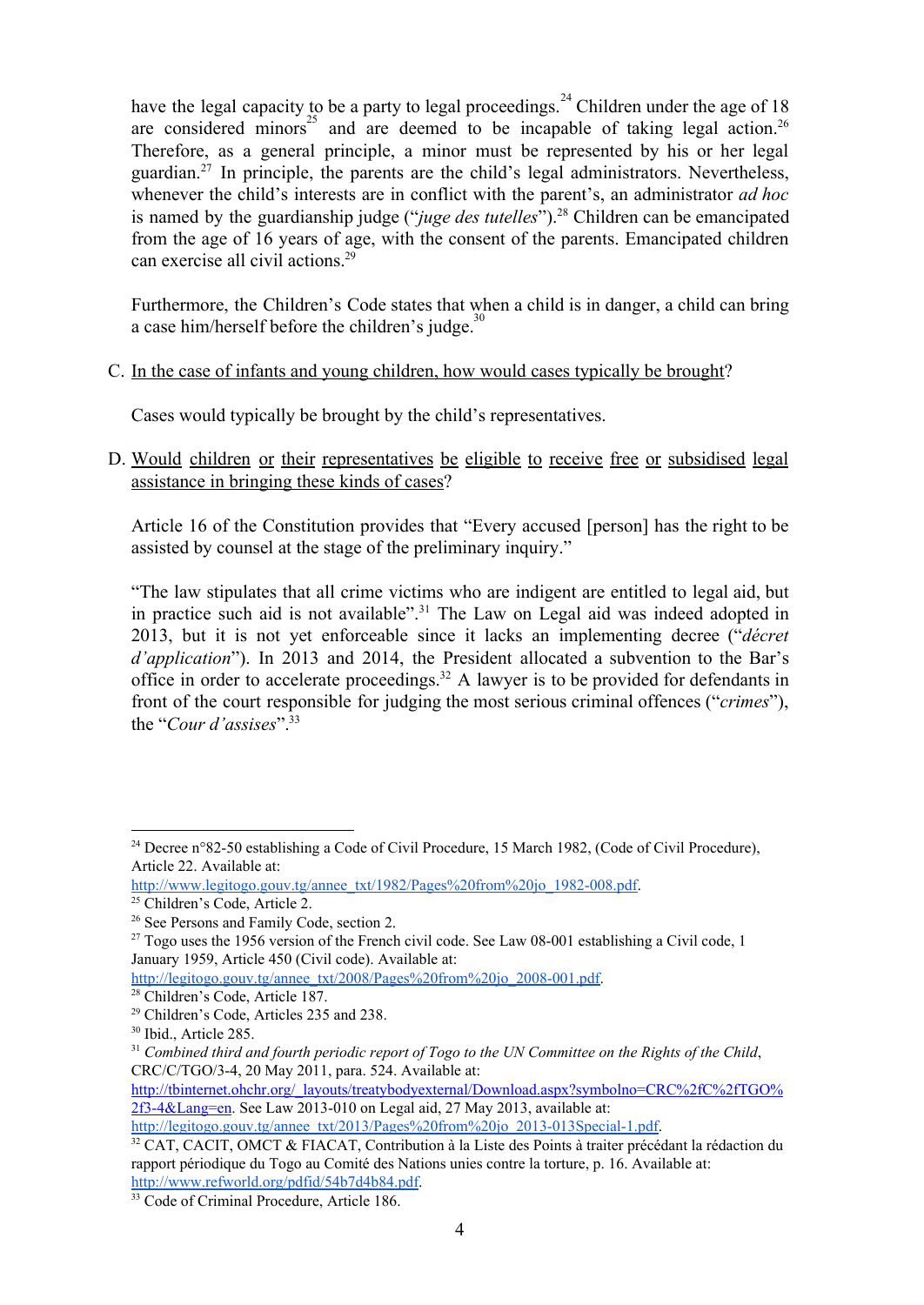have the legal capacity to be a party to legal proceedings.<sup>24</sup> Children under the age of 18 are considered minors<sup>25</sup> and are deemed to be incapable of taking legal action.<sup>26</sup> Therefore, as a general principle, a minor must be represented by his or her legal guardian.<sup>27</sup> In principle, the parents are the child's legal administrators. Nevertheless, whenever the child's interests are in conflict with the parent's, an administrator *ad hoc* is named by the guardianship judge ("*juge des tutelles*").<sup>28</sup> Children can be emancipated from the age of 16 years of age, with the consent of the parents. Emancipated children can exercise all civil actions. 29

Furthermore, the Children's Code states that when a child is in danger, a child can bring a case him/herself before the children's judge.<sup>30</sup>

C. In the case of infants and young children, how would cases typically be brought?

Cases would typically be brought by the child's representatives.

D. Would children or their representatives be eligible to receive free or subsidised legal assistance in bringing these kinds of cases?

Article 16 of the Constitution provides that "Every accused [person] has the right to be assisted by counsel at the stage of the preliminary inquiry."

"The law stipulates that all crime victims who are indigent are entitled to legal aid, but in practice such aid is not available".<sup>31</sup> The Law on Legal aid was indeed adopted in 2013, but it is not yet enforceable since it lacks an implementing decree ("*décret d'application*"). In 2013 and 2014, the President allocated a subvention to the Bar's office in order to accelerate proceedings.<sup>32</sup> A lawyer is to be provided for defendants in front of the court responsible for judging the most serious criminal offences ("*crimes*"), the "*Cour d'assises*". 33

http://legitogo.gouv.tg/annee\_txt/2008/Pages%20from%20jo\_2008-001.pdf.

http://legitogo.gouv.tg/annee\_txt/2013/Pages%20from%20jo\_2013-013Special-1.pdf.

<sup>&</sup>lt;sup>24</sup> Decree n°82-50 establishing a Code of Civil Procedure, 15 March 1982, (Code of Civil Procedure), Article 22. Available at:

http://www.legitogo.gouv.tg/annee\_txt/1982/Pages%20from%20jo\_1982-008.pdf.

<sup>25</sup> Children's Code, Article 2.

<sup>&</sup>lt;sup>26</sup> See Persons and Family Code, section 2.

<sup>&</sup>lt;sup>27</sup> Togo uses the 1956 version of the French civil code. See Law 08-001 establishing a Civil code, 1 January 1959, Article 450 (Civil code). Available at:

<sup>28</sup> Children's Code, Article 187.

<sup>29</sup> Children's Code, Articles 235 and 238.

<sup>30</sup> Ibid., Article 285.

 $31$  Combined third and fourth periodic report of Togo to the UN Committee on the Rights of the Child, CRC/C/TGO/34, 20 May 2011, para. 524. Available at:

[http://tbinternet.ohchr.org/\\_layouts/treatybodyexternal/Download.aspx?symbolno=CRC%2fC%2fTGO%](http://tbinternet.ohchr.org/_layouts/treatybodyexternal/Download.aspx?symbolno=CRC%2fC%2fTGO%2f3-4&Lang=en)  $2f3-4&$ Lang=en. See Law 2013-010 on Legal aid, 27 May 2013, available at:

<sup>&</sup>lt;sup>32</sup> CAT, CACIT, OMCT & FIACAT, Contribution à la Liste des Points à traiter précédant la rédaction du rapport périodique du Togo au Comité des Nations unies contre la torture, p. 16. Available at: [http://www.refworld.org/pdfid/54b7d4b84.pdf.](http://www.refworld.org/pdfid/54b7d4b84.pdf)

<sup>&</sup>lt;sup>33</sup> Code of Criminal Procedure, Article 186.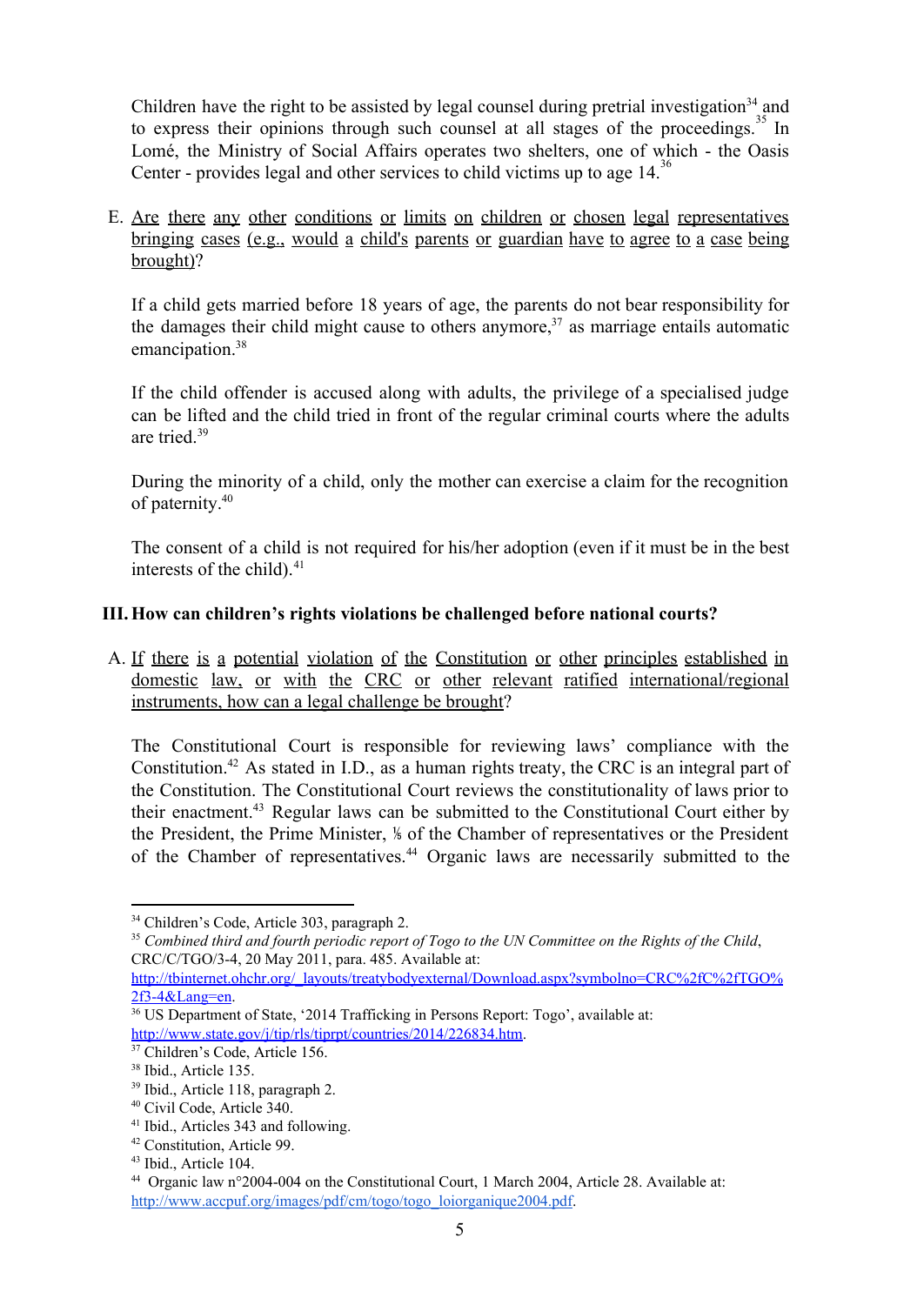Children have the right to be assisted by legal counsel during pretrial investigation<sup>34</sup> and to express their opinions through such counsel at all stages of the proceedings.<sup>35</sup> In Lomé, the Ministry of Social Affairs operates two shelters, one of which - the Oasis Center - provides legal and other services to child victims up to age  $14$ .<sup>36</sup>

E. Are there any other conditions or limits on children or chosen legal representatives bringing cases (e.g., would a child's parents or guardian have to agree to a case being brought)?

If a child gets married before 18 years of age, the parents do not bear responsibility for the damages their child might cause to others anymore,  $37$  as marriage entails automatic emancipation. 38

If the child offender is accused along with adults, the privilege of a specialised judge can be lifted and the child tried in front of the regular criminal courts where the adults are tried. 39

During the minority of a child, only the mother can exercise a claim for the recognition of paternity. 40

The consent of a child is not required for his/her adoption (even if it must be in the best interests of the child). 41

# **III.How can children's rights violations be challenged before national courts?**

A. If there is a potential violation of the Constitution or other principles established in domestic law, or with the CRC or other relevant ratified international/regional instruments, how can a legal challenge be brought?

The Constitutional Court is responsible for reviewing laws' compliance with the Constitution.<sup>42</sup> As stated in I.D., as a human rights treaty, the CRC is an integral part of the Constitution. The Constitutional Court reviews the constitutionality of laws prior to their enactment.<sup>43</sup> Regular laws can be submitted to the Constitutional Court either by the President, the Prime Minister, ⅕of the Chamber of representatives or the President of the Chamber of representatives.<sup>44</sup> Organic laws are necessarily submitted to the

<sup>34</sup> Children's Code, Article 303, paragraph 2.

<sup>&</sup>lt;sup>35</sup> Combined third and fourth periodic report of Togo to the UN Committee on the Rights of the Child, CRC/C/TGO/34, 20 May 2011, para. 485. Available at:

[http://tbinternet.ohchr.org/\\_layouts/treatybodyexternal/Download.aspx?symbolno=CRC%2fC%2fTGO%](http://tbinternet.ohchr.org/_layouts/treatybodyexternal/Download.aspx?symbolno=CRC%2fC%2fTGO%2f3-4&Lang=en) [2f34&Lang=en.](http://tbinternet.ohchr.org/_layouts/treatybodyexternal/Download.aspx?symbolno=CRC%2fC%2fTGO%2f3-4&Lang=en)

<sup>&</sup>lt;sup>36</sup> US Department of State, '2014 Trafficking in Persons Report: Togo', available at: [http://www.state.gov/j/tip/rls/tiprpt/countries/2014/226834.htm.](http://www.state.gov/j/tip/rls/tiprpt/countries/2014/226834.htm)

<sup>&</sup>lt;sup>37</sup> Children's Code, Article 156.

<sup>38</sup> Ibid., Article 135.

<sup>39</sup> Ibid., Article 118, paragraph 2.

<sup>40</sup> Civil Code, Article 340.

<sup>41</sup> Ibid., Articles 343 and following.

<sup>42</sup> Constitution, Article 99.

<sup>43</sup> Ibid., Article 104.

<sup>&</sup>lt;sup>44</sup> Organic law n°2004-004 on the Constitutional Court, 1 March 2004, Article 28. Available at: [http://www.accpuf.org/images/pdf/cm/togo/togo\\_loiorganique2004.pdf.](http://www.accpuf.org/images/pdf/cm/togo/togo_loiorganique2004.pdf)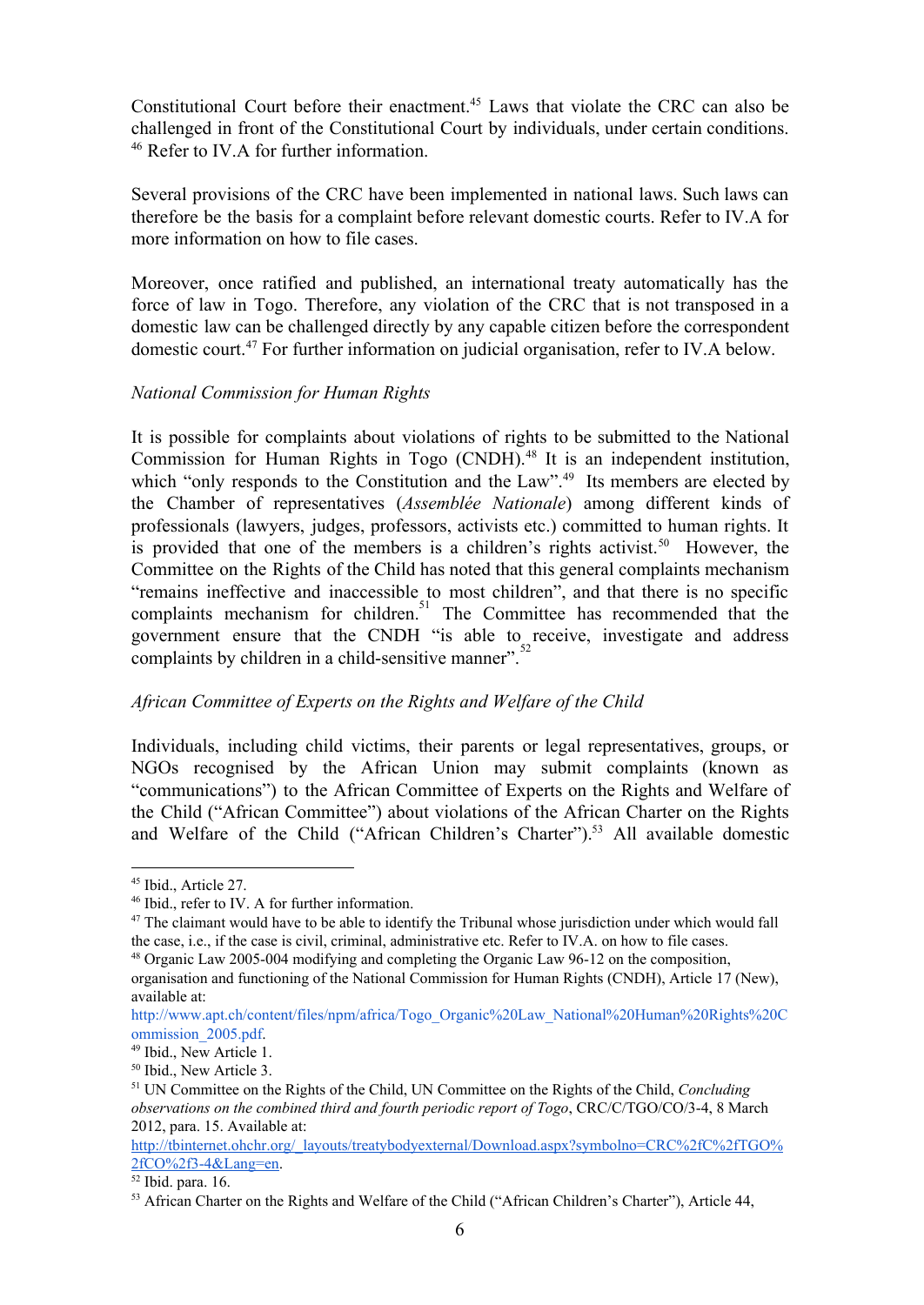Constitutional Court before their enactment.<sup>45</sup> Laws that violate the CRC can also be challenged in front of the Constitutional Court by individuals, under certain conditions. <sup>46</sup> Refer to IV.A for further information.

Several provisions of the CRC have been implemented in national laws. Such laws can therefore be the basis for a complaint before relevant domestic courts. Refer to IV.A for more information on how to file cases.

Moreover, once ratified and published, an international treaty automatically has the force of law in Togo. Therefore, any violation of the CRC that is not transposed in a domestic law can be challenged directly by any capable citizen before the correspondent domestic court.<sup>47</sup> For further information on judicial organisation, refer to IV.A below.

## *National Commission for Human Rights*

It is possible for complaints about violations of rights to be submitted to the National Commission for Human Rights in Togo (CNDH).<sup>48</sup> It is an independent institution, which "only responds to the Constitution and the Law".<sup>49</sup> Its members are elected by the Chamber of representatives (*Assemblée Nationale*) among different kinds of professionals (lawyers, judges, professors, activists etc.) committed to human rights. It is provided that one of the members is a children's rights activist.<sup>50</sup> However, the Committee on the Rights of the Child has noted that this general complaints mechanism "remains ineffective and inaccessible to most children", and that there is no specific complaints mechanism for children.<sup>51</sup> The Committee has recommended that the government ensure that the CNDH "is able to receive, investigate and address complaints by children in a child-sensitive manner".

# *African Committee of Experts on the Rights and Welfare of the Child*

Individuals, including child victims, their parents or legal representatives, groups, or NGOs recognised by the African Union may submit complaints (known as "communications") to the African Committee of Experts on the Rights and Welfare of the Child ("African Committee") about violations of the African Charter on the Rights and Welfare of the Child ("African Children's Charter").<sup>53</sup> All available domestic

<sup>45</sup> Ibid., Article 27.

<sup>46</sup> Ibid., refer to IV. A for further information.

 $47$  The claimant would have to be able to identify the Tribunal whose jurisdiction under which would fall the case, i.e., if the case is civil, criminal, administrative etc. Refer to IV.A. on how to file cases.

 $48$  Organic Law 2005-004 modifying and completing the Organic Law 96-12 on the composition,

organisation and functioning of the National Commission for Human Rights (CNDH), Article 17 (New), available at:

[http://www.apt.ch/content/files/npm/africa/Togo\\_Organic%20Law\\_National%20Human%20Rights%20C](http://www.apt.ch/content/files/npm/africa/Togo_Organic%20Law_National%20Human%20Rights%20Commission_2005.pdf) [ommission\\_2005.pdf](http://www.apt.ch/content/files/npm/africa/Togo_Organic%20Law_National%20Human%20Rights%20Commission_2005.pdf).

<sup>49</sup> Ibid., New Article 1.

<sup>50</sup> Ibid., New Article 3.

<sup>51</sup> UN Committee on the Rights of the Child, UN Committee on the Rights of the Child, *Concluding observations on the combined third and fourth periodic report of Togo*, CRC/C/TGO/CO/34, 8 March 2012, para. 15. Available at:

[http://tbinternet.ohchr.org/\\_layouts/treatybodyexternal/Download.aspx?symbolno=CRC%2fC%2fTGO%](http://tbinternet.ohchr.org/_layouts/treatybodyexternal/Download.aspx?symbolno=CRC%2fC%2fTGO%2fCO%2f3-4&Lang=en) [2fCO%2f34&Lang=en.](http://tbinternet.ohchr.org/_layouts/treatybodyexternal/Download.aspx?symbolno=CRC%2fC%2fTGO%2fCO%2f3-4&Lang=en)

<sup>52</sup> Ibid. para. 16.

<sup>&</sup>lt;sup>53</sup> African Charter on the Rights and Welfare of the Child ("African Children's Charter"), Article 44,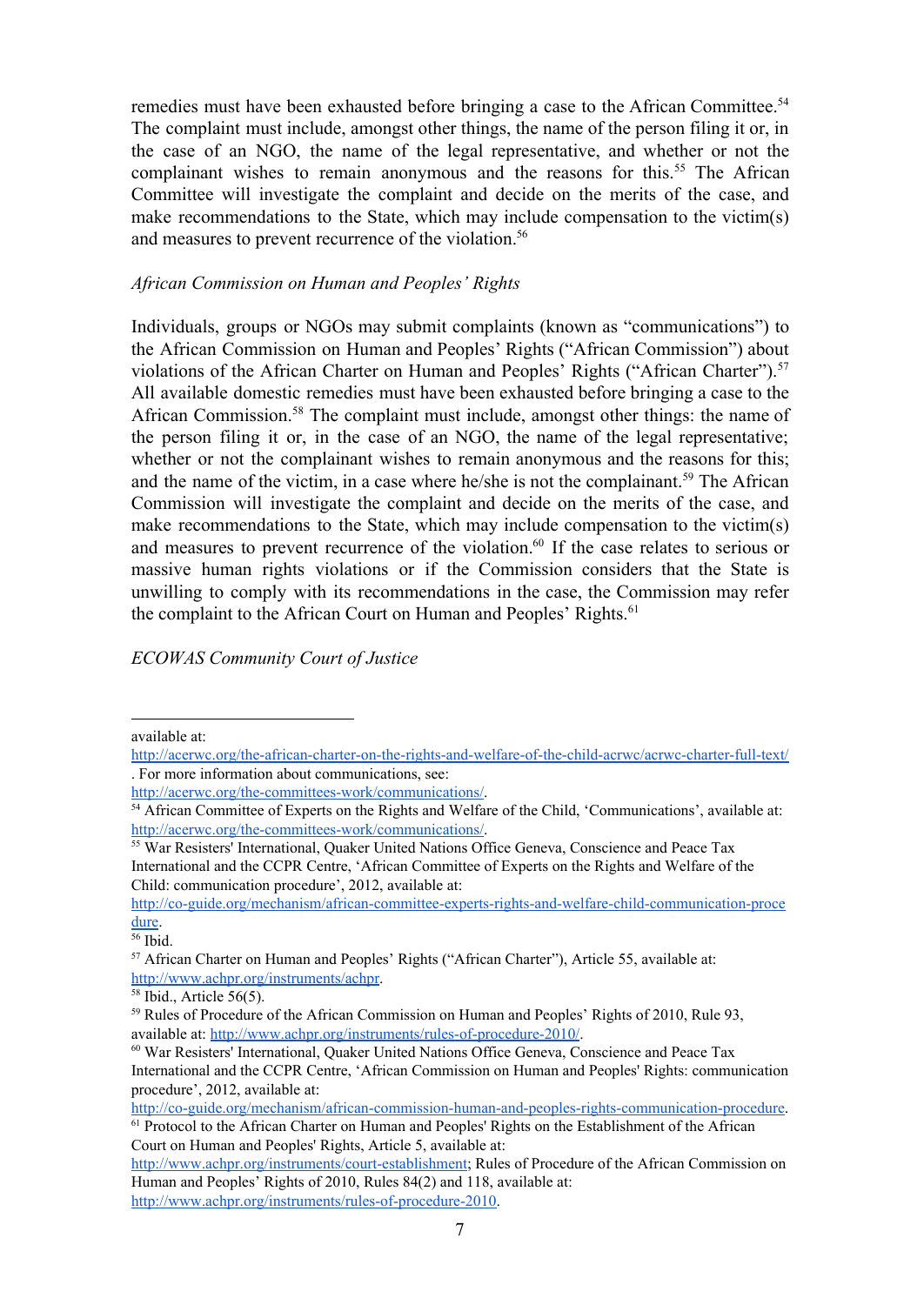remedies must have been exhausted before bringing a case to the African Committee. 54 The complaint must include, amongst other things, the name of the person filing it or, in the case of an NGO, the name of the legal representative, and whether or not the complainant wishes to remain anonymous and the reasons for this.<sup>55</sup> The African Committee will investigate the complaint and decide on the merits of the case, and make recommendations to the State, which may include compensation to the victim(s) and measures to prevent recurrence of the violation. 56

#### *African Commission on Human and Peoples' Rights*

Individuals, groups or NGOs may submit complaints (known as "communications") to the African Commission on Human and Peoples' Rights ("African Commission") about violations of the African Charter on Human and Peoples' Rights ("African Charter").<sup>57</sup> All available domestic remedies must have been exhausted before bringing a case to the African Commission.<sup>58</sup> The complaint must include, amongst other things: the name of the person filing it or, in the case of an NGO, the name of the legal representative; whether or not the complainant wishes to remain anonymous and the reasons for this; and the name of the victim, in a case where he/she is not the complainant.<sup>59</sup> The African Commission will investigate the complaint and decide on the merits of the case, and make recommendations to the State, which may include compensation to the victim(s) and measures to prevent recurrence of the violation.<sup>60</sup> If the case relates to serious or massive human rights violations or if the Commission considers that the State is unwilling to comply with its recommendations in the case, the Commission may refer the complaint to the African Court on Human and Peoples' Rights.<sup>61</sup>

#### *ECOWAS Community Court of Justice*

available at:

http://acerwc.org/the-african-charter-on-the-rights-and-welfare-of-the-child-acrwc/acrwc-charter-full-text/ . For more information about communications, see:

http://acerwc.org/the-committees-work/communications/.

<sup>54</sup> African Committee of Experts on the Rights and Welfare of the Child, 'Communications', available at: http://acerwc.org/the-committees-work/communications/.

<sup>&</sup>lt;sup>55</sup> War Resisters' International, Quaker United Nations Office Geneva, Conscience and Peace Tax International and the CCPR Centre, 'African Committee of Experts on the Rights and Welfare of the Child: communication procedure', 2012, available at:

http://co-guide.org/mechanism/african-committee-experts-rights-and-welfare-child-communication-proce [dure](http://co-guide.org/mechanism/african-committee-experts-rights-and-welfare-child-communication-procedure).

<sup>56</sup> Ibid.

<sup>57</sup> African Charter on Human and Peoples' Rights ("African Charter"), Article 55, available at: [http://www.achpr.org/instruments/achpr.](http://www.achpr.org/instruments/achpr)

<sup>58</sup> Ibid., Article 56(5).

<sup>59</sup> Rules of Procedure of the African Commission on Human and Peoples' Rights of 2010, Rule 93, available at: http://www.achpr.org/instruments/rules-of-procedure-2010/.

<sup>60</sup> War Resisters' International, Quaker United Nations Office Geneva, Conscience and Peace Tax International and the CCPR Centre, 'African Commission on Human and Peoples' Rights: communication procedure', 2012, available at:

http://co-guide.org/mechanism/african-commission-human-and-peoples-rights-communication-procedure.

<sup>&</sup>lt;sup>61</sup> Protocol to the African Charter on Human and Peoples' Rights on the Establishment of the African Court on Human and Peoples' Rights, Article 5, available at:

http://www.achpr.org/instruments/court-establishment; Rules of Procedure of the African Commission on Human and Peoples' Rights of 2010, Rules 84(2) and 118, available at: http://www.achpr.org/instruments/rules-of-procedure-2010.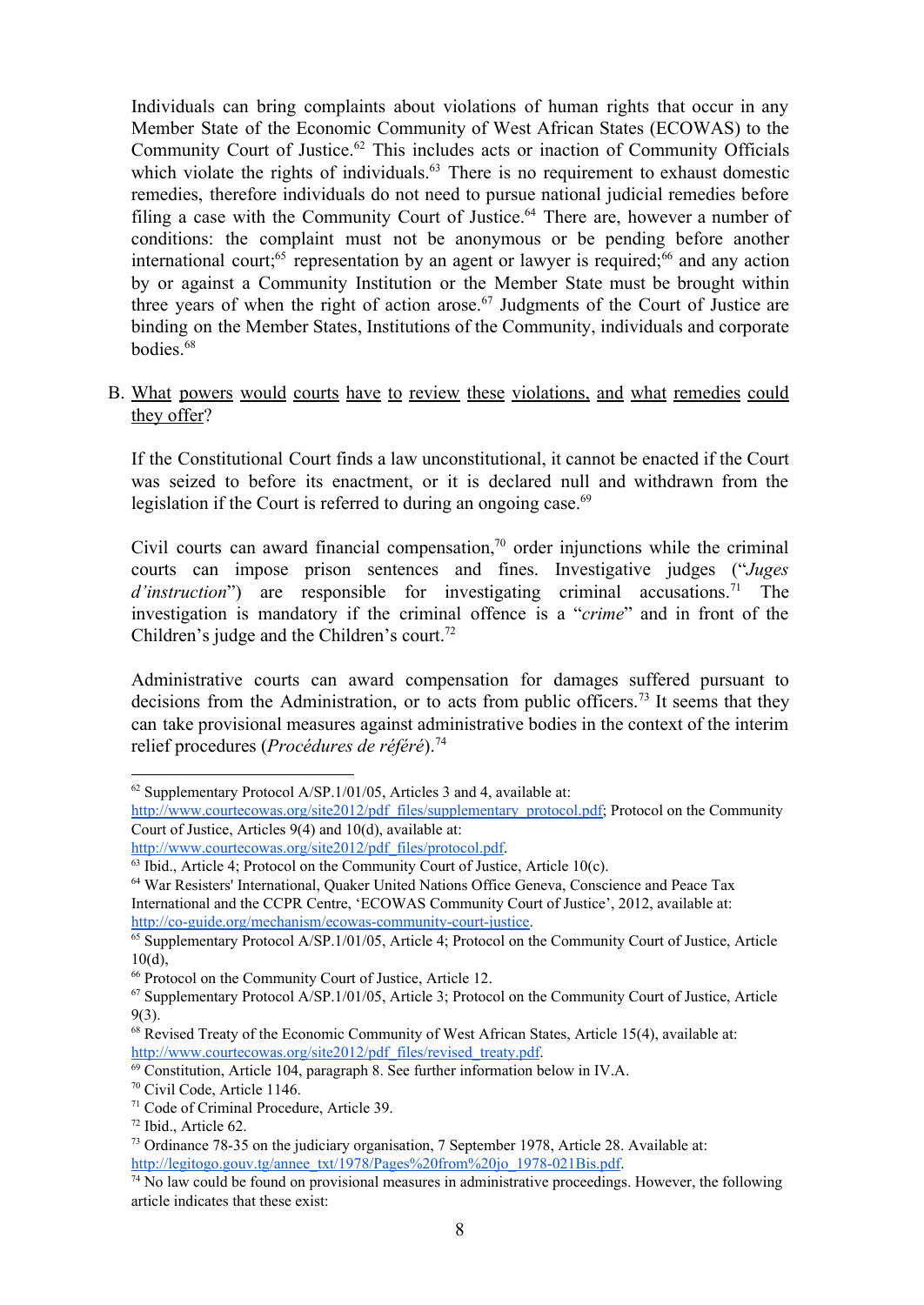Individuals can bring complaints about violations of human rights that occur in any Member State of the Economic Community of West African States (ECOWAS) to the Community Court of Justice.<sup>62</sup> This includes acts or inaction of Community Officials which violate the rights of individuals. $63$  There is no requirement to exhaust domestic remedies, therefore individuals do not need to pursue national judicial remedies before filing a case with the Community Court of Justice.<sup>64</sup> There are, however a number of conditions: the complaint must not be anonymous or be pending before another international court;<sup>65</sup> representation by an agent or lawyer is required;<sup>66</sup> and any action by or against a Community Institution or the Member State must be brought within three years of when the right of action arose.<sup>67</sup> Judgments of the Court of Justice are binding on the Member States, Institutions of the Community, individuals and corporate bodies. 68

B. What powers would courts have to review these violations, and what remedies could they offer?

If the Constitutional Court finds a law unconstitutional, it cannot be enacted if the Court was seized to before its enactment, or it is declared null and withdrawn from the legislation if the Court is referred to during an ongoing case. 69

Civil courts can award financial compensation,<sup>70</sup> order injunctions while the criminal courts can impose prison sentences and fines. Investigative judges ("*Juges* d'instruction") are responsible for investigating criminal accusations.<sup>71</sup> The investigation is mandatory if the criminal offence is a "*crime*" and in front of the Children's judge and the Children's court. 72

Administrative courts can award compensation for damages suffered pursuant to decisions from the Administration, or to acts from public officers.<sup>73</sup> It seems that they can take provisional measures against administrative bodies in the context of the interim relief procedures (*Procédures de référé*). 74

<sup>62</sup> Supplementary Protocol A/SP.1/01/05, Articles 3 and 4, available at:

[http://www.courtecowas.org/site2012/pdf\\_files/supplementary\\_protocol.pdf;](http://www.courtecowas.org/site2012/pdf_files/supplementary_protocol.pdf) Protocol on the Community Court of Justice, Articles 9(4) and 10(d), available at:

[http://www.courtecowas.org/site2012/pdf\\_files/protocol.pdf.](http://www.courtecowas.org/site2012/pdf_files/protocol.pdf)

<sup>&</sup>lt;sup>63</sup> Ibid., Article 4; Protocol on the Community Court of Justice, Article 10(c).

<sup>64</sup> War Resisters' International, Quaker United Nations Office Geneva, Conscience and Peace Tax International and the CCPR Centre, 'ECOWAS Community Court of Justice', 2012, available at: http://co-guide.org/mechanism/ecowas-community-court-justice.

<sup>&</sup>lt;sup>65</sup> Supplementary Protocol A/SP.1/01/05, Article 4; Protocol on the Community Court of Justice, Article  $10(d)$ ,

<sup>66</sup> Protocol on the Community Court of Justice, Article 12.

<sup>67</sup> Supplementary Protocol A/SP.1/01/05, Article 3; Protocol on the Community Court of Justice, Article 9(3).

<sup>68</sup> Revised Treaty of the Economic Community of West African States, Article 15(4), available at: [http://www.courtecowas.org/site2012/pdf\\_files/revised\\_treaty.pdf.](http://www.courtecowas.org/site2012/pdf_files/revised_treaty.pdf)

<sup>69</sup> Constitution, Article 104, paragraph 8. See further information below in IV.A.

<sup>70</sup> Civil Code, Article 1146.

<sup>71</sup> Code of Criminal Procedure, Article 39.

<sup>72</sup> Ibid., Article 62.

<sup>&</sup>lt;sup>73</sup> Ordinance 78-35 on the judiciary organisation, 7 September 1978, Article 28. Available at: http://legitogo.gouv.tg/annee\_txt/1978/Pages%20from%20jo\_1978-021Bis.pdf.

 $74$  No law could be found on provisional measures in administrative proceedings. However, the following article indicates that these exist: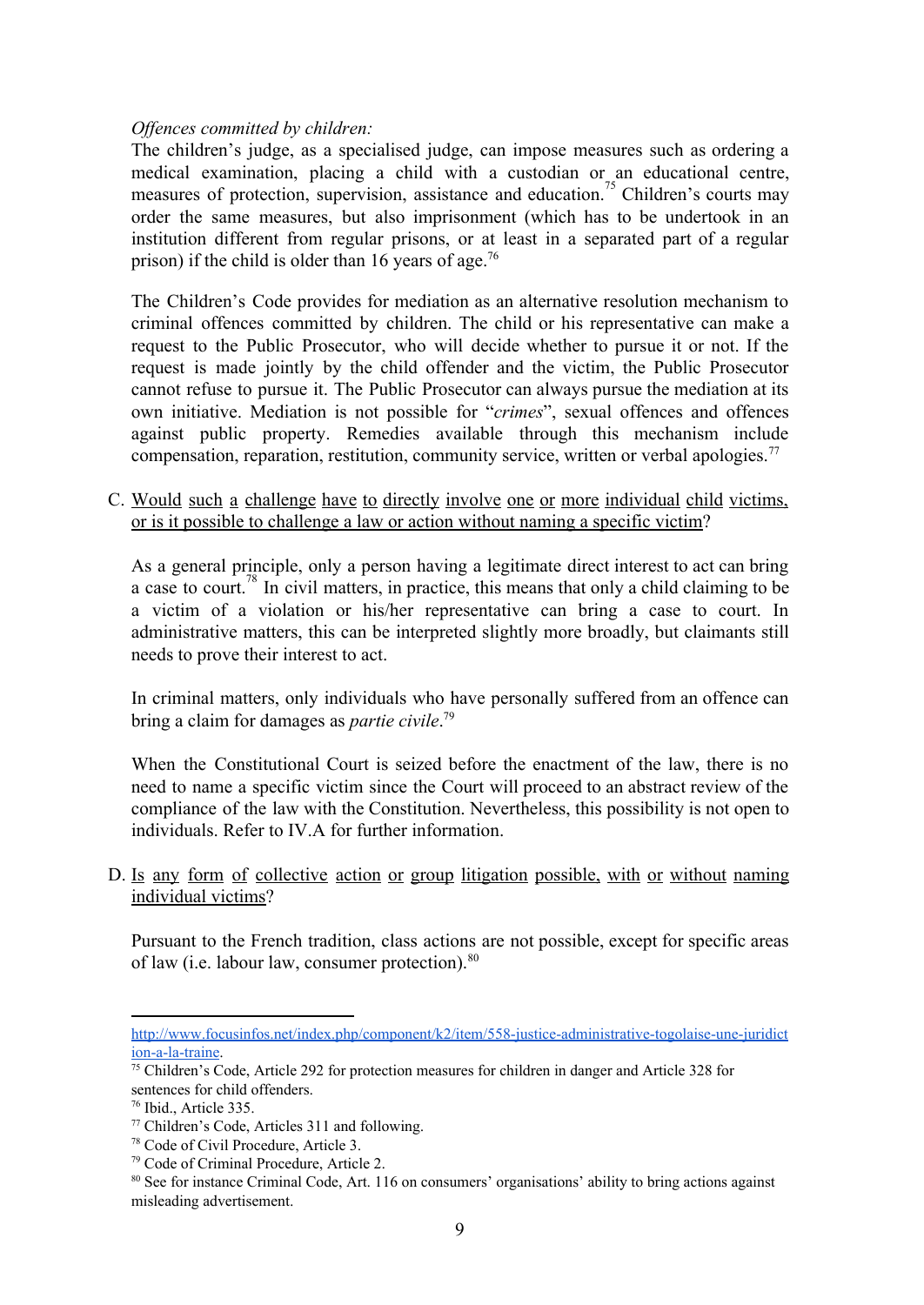#### *Of ences committed by children:*

The children's judge, as a specialised judge, can impose measures such as ordering a medical examination, placing a child with a custodian or an educational centre, measures of protection, supervision, assistance and education.<sup>75</sup> Children's courts may order the same measures, but also imprisonment (which has to be undertook in an institution different from regular prisons, or at least in a separated part of a regular prison) if the child is older than 16 years of age.<sup>76</sup>

The Children's Code provides for mediation as an alternative resolution mechanism to criminal offences committed by children. The child or his representative can make a request to the Public Prosecutor, who will decide whether to pursue it or not. If the request is made jointly by the child offender and the victim, the Public Prosecutor cannot refuse to pursue it. The Public Prosecutor can always pursue the mediation at its own initiative. Mediation is not possible for "*crimes*", sexual offences and offences against public property. Remedies available through this mechanism include compensation, reparation, restitution, community service, written or verbal apologies. 77

C. Would such a challenge have to directly involve one or more individual child victims, or is it possible to challenge a law or action without naming a specific victim?

As a general principle, only a person having a legitimate direct interest to act can bring a case to court.<sup>78</sup> In civil matters, in practice, this means that only a child claiming to be a victim of a violation or his/her representative can bring a case to court. In administrative matters, this can be interpreted slightly more broadly, but claimants still needs to prove their interest to act.

In criminal matters, only individuals who have personally suffered from an offence can bring a claim for damages as *partie civile*. 79

When the Constitutional Court is seized before the enactment of the law, there is no need to name a specific victim since the Court will proceed to an abstract review of the compliance of the law with the Constitution. Nevertheless, this possibility is not open to individuals. Refer to IV.A for further information.

D. Is any form of collective action or group litigation possible, with or without naming individual victims?

Pursuant to the French tradition, class actions are not possible, except for specific areas of law (i.e. labour law, consumer protection).<sup>80</sup>

http://www.focusinfos.net/index.php/component/k2/item/558-justice-administrative-togolaise-une-juridict ion-a-la-traine.

<sup>75</sup> Children's Code, Article 292 for protection measures for children in danger and Article 328 for sentences for child offenders.

<sup>76</sup> Ibid., Article 335.

<sup>77</sup> Children's Code, Articles 311 and following.

<sup>78</sup> Code of Civil Procedure, Article 3.

<sup>79</sup> Code of Criminal Procedure, Article 2.

<sup>&</sup>lt;sup>80</sup> See for instance Criminal Code, Art. 116 on consumers' organisations' ability to bring actions against misleading advertisement.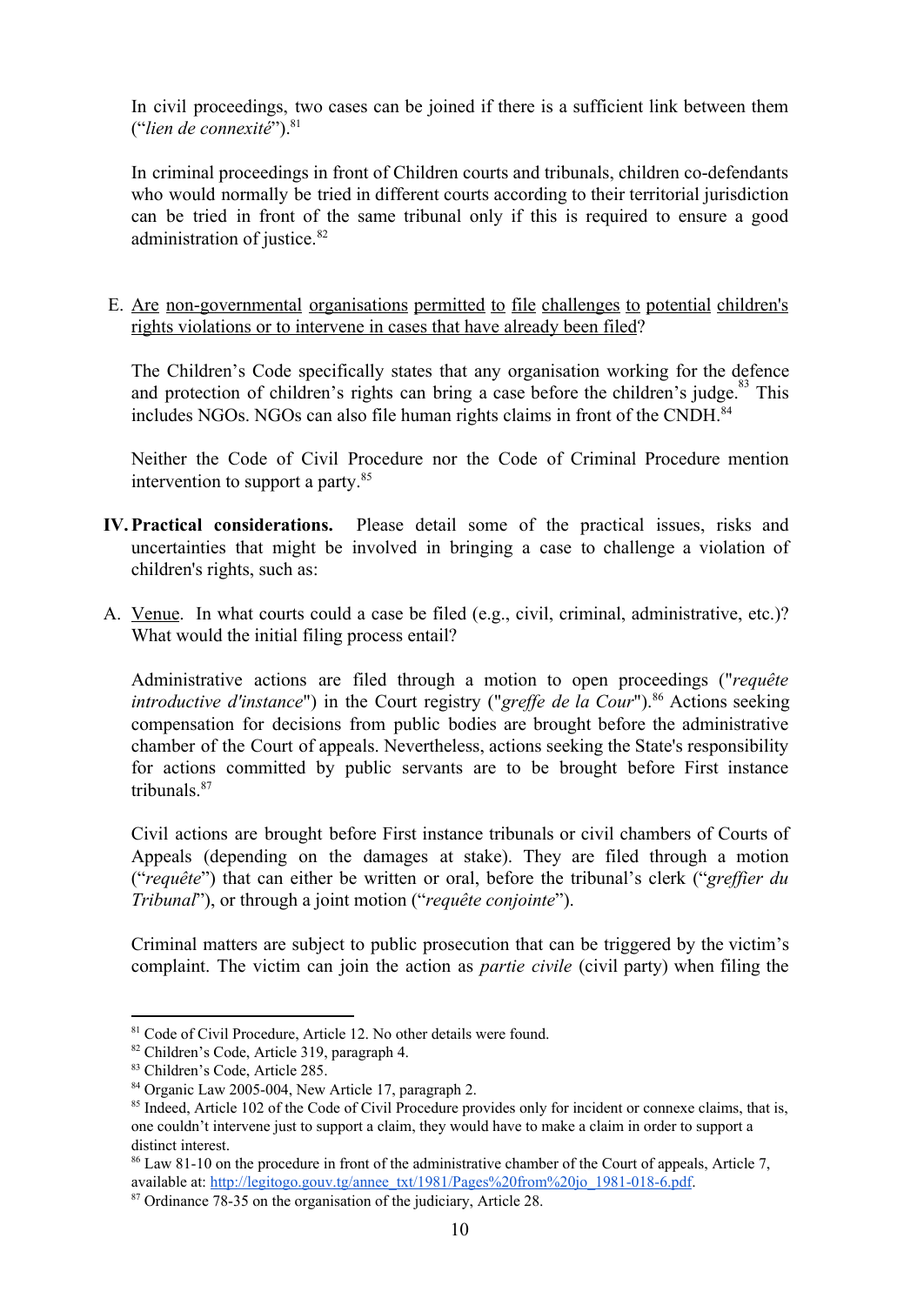In civil proceedings, two cases can be joined if there is a sufficient link between them ("*lien de connexité*"). 81

In criminal proceedings in front of Children courts and tribunals, children co-defendants who would normally be tried in different courts according to their territorial jurisdiction can be tried in front of the same tribunal only if this is required to ensure a good administration of justice. 82

E. Are non-governmental organisations permitted to file challenges to potential children's rights violations or to intervene in cases that have already been filed?

The Children's Code specifically states that any organisation working for the defence and protection of children's rights can bring a case before the children's judge. $83$  This includes NGOs. NGOs can also file human rights claims in front of the CNDH. 84

Neither the Code of Civil Procedure nor the Code of Criminal Procedure mention intervention to support a party. 85

- **IV.Practical considerations.** Please detail some of the practical issues, risks and uncertainties that might be involved in bringing a case to challenge a violation of children's rights, such as:
- A. Venue. In what courts could a case be filed (e.g., civil, criminal, administrative, etc.)? What would the initial filing process entail?

Administrative actions are filed through a motion to open proceedings ("*requête introductive d'instance*") in the Court registry ("*greffe de la Cour*").<sup>86</sup> Actions seeking compensation for decisions from public bodies are brought before the administrative chamber of the Court of appeals. Nevertheless, actions seeking the State's responsibility for actions committed by public servants are to be brought before First instance tribunals. 87

Civil actions are brought before First instance tribunals or civil chambers of Courts of Appeals (depending on the damages at stake). They are filed through a motion ("*requête*") that can either be written or oral, before the tribunal's clerk ("greffier du *Tribunal*"), or through a joint motion ("*requête conjointe*").

Criminal matters are subject to public prosecution that can be triggered by the victim's complaint. The victim can join the action as *partie civile* (civil party) when filing the

<sup>&</sup>lt;sup>81</sup> Code of Civil Procedure, Article 12. No other details were found.

<sup>82</sup> Children's Code, Article 319, paragraph 4.

<sup>83</sup> Children's Code, Article 285.

<sup>&</sup>lt;sup>84</sup> Organic Law 2005-004, New Article 17, paragraph 2.

<sup>&</sup>lt;sup>85</sup> Indeed, Article 102 of the Code of Civil Procedure provides only for incident or connexe claims, that is, one couldn't intervene just to support a claim, they would have to make a claim in order to support a distinct interest.

<sup>&</sup>lt;sup>86</sup> Law 81-10 on the procedure in front of the administrative chamber of the Court of appeals, Article 7, available at: http://legitogo.gouv.tg/annee\_txt/1981/Pages%20from%20jo\_1981-018-6.pdf.

<sup>&</sup>lt;sup>87</sup> Ordinance 78-35 on the organisation of the judiciary, Article 28.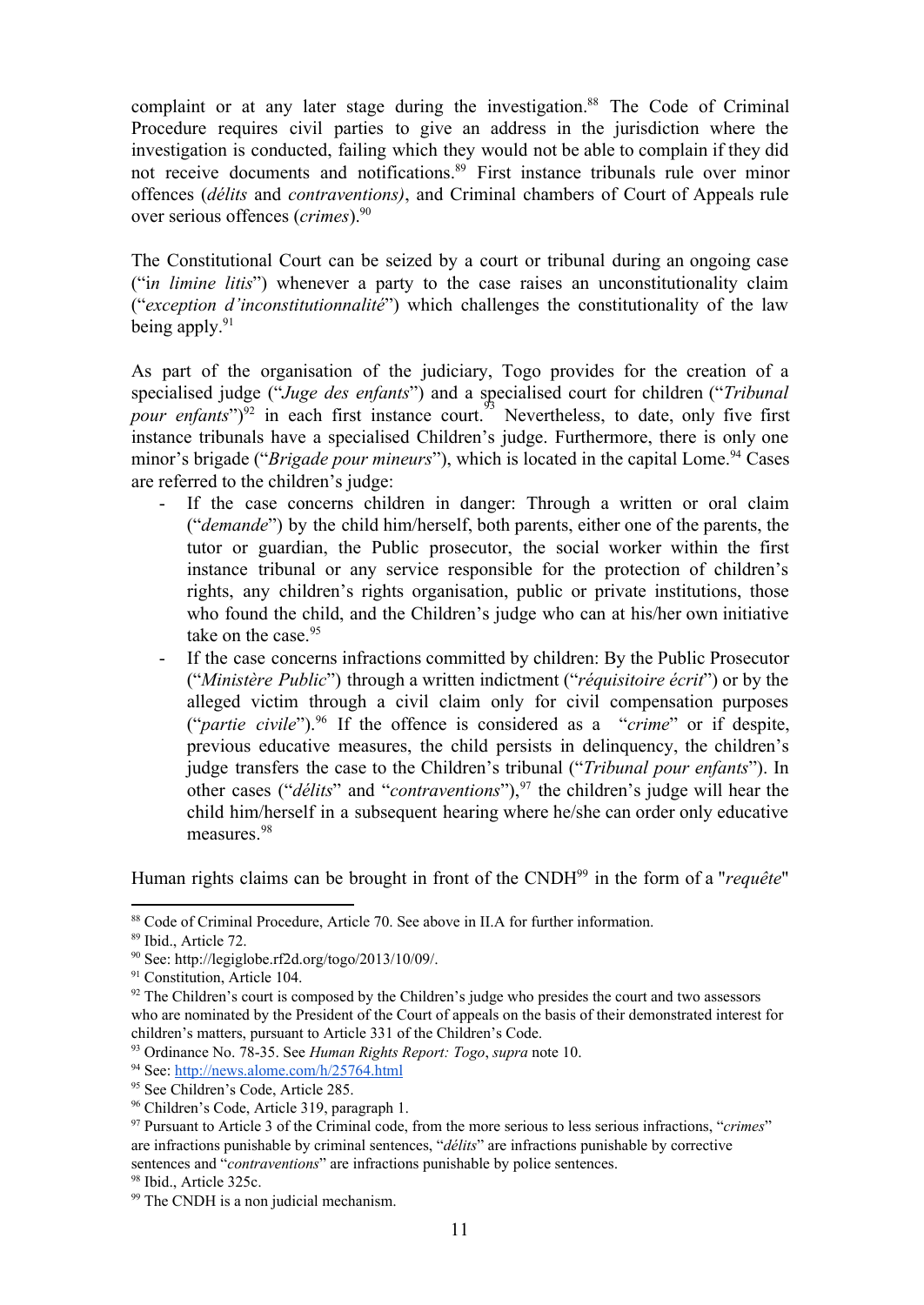complaint or at any later stage during the investigation.<sup>88</sup> The Code of Criminal Procedure requires civil parties to give an address in the jurisdiction where the investigation is conducted, failing which they would not be able to complain if they did not receive documents and notifications.<sup>89</sup> First instance tribunals rule over minor offences (*délits* and *contraventions)*, and Criminal chambers of Court of Appeals rule over serious offences (*crimes*). 90

The Constitutional Court can be seized by a court or tribunal during an ongoing case ("i*n limine litis*") whenever a party to the case raises an unconstitutionality claim ("*exception d'inconstitutionnalité*") which challenges the constitutionality of the law being apply.<sup>91</sup>

As part of the organisation of the judiciary, Togo provides for the creation of a specialised judge ("*Juge des enfants*") and a specialised court for children ("*Tribunal pour enfants*")<sup>92</sup> in each first instance court.<sup>93</sup> Nevertheless, to date, only five first instance tribunals have a specialised Children's judge. Furthermore, there is only one minor's brigade ("*Brigade pour mineurs*"), which is located in the capital Lome.<sup>94</sup> Cases are referred to the children's judge:

- If the case concerns children in danger: Through a written or oral claim ("*demande*") by the child him/herself, both parents, either one of the parents, the tutor or guardian, the Public prosecutor, the social worker within the first instance tribunal or any service responsible for the protection of children's rights, any children's rights organisation, public or private institutions, those who found the child, and the Children's judge who can at his/her own initiative take on the case. 95
- If the case concerns infractions committed by children: By the Public Prosecutor ("*Ministère Public*") through a written indictment ("*réquisitoire écrit*") or by the alleged victim through a civil claim only for civil compensation purposes ("*partie civile*").<sup>96</sup> If the offence is considered as a "*crime*" or if despite, previous educative measures, the child persists in delinquency, the children's judge transfers the case to the Children's tribunal ("*Tribunal pour enfants*"). In other cases ("*délits*" and "*contraventions*"),<sup>97</sup> the children's judge will hear the child him/herself in a subsequent hearing where he/she can order only educative measures. 98

Human rights claims can be brought in front of the CNDH<sup>99</sup> in the form of a "*requête*"

<sup>88</sup> Code of Criminal Procedure, Article 70. See above in II.A for further information.

<sup>89</sup> Ibid., Article 72.

<sup>90</sup> See: http://legiglobe.rf2d.org/togo/2013/10/09/.

<sup>&</sup>lt;sup>91</sup> Constitution, Article 104.

 $92$  The Children's court is composed by the Children's judge who presides the court and two assessors who are nominated by the President of the Court of appeals on the basis of their demonstrated interest for children's matters, pursuant to Article 331 of the Children's Code.

<sup>93</sup> Ordinance No. 7835. See *Human Rights Report: Togo*, *supra* note 10.

<sup>94</sup> See: <http://news.alome.com/h/25764.html>

<sup>&</sup>lt;sup>95</sup> See Children's Code, Article 285.

<sup>96</sup> Children's Code, Article 319, paragraph 1.

<sup>97</sup> Pursuant to Article 3 of the Criminal code, from the more serious to less serious infractions, "*crimes*" are infractions punishable by criminal sentences, "*délits*" are infractions punishable by corrective sentences and "*contraventions*" are infractions punishable by police sentences.

<sup>98</sup> Ibid., Article 325c.

<sup>99</sup> The CNDH is a non judicial mechanism.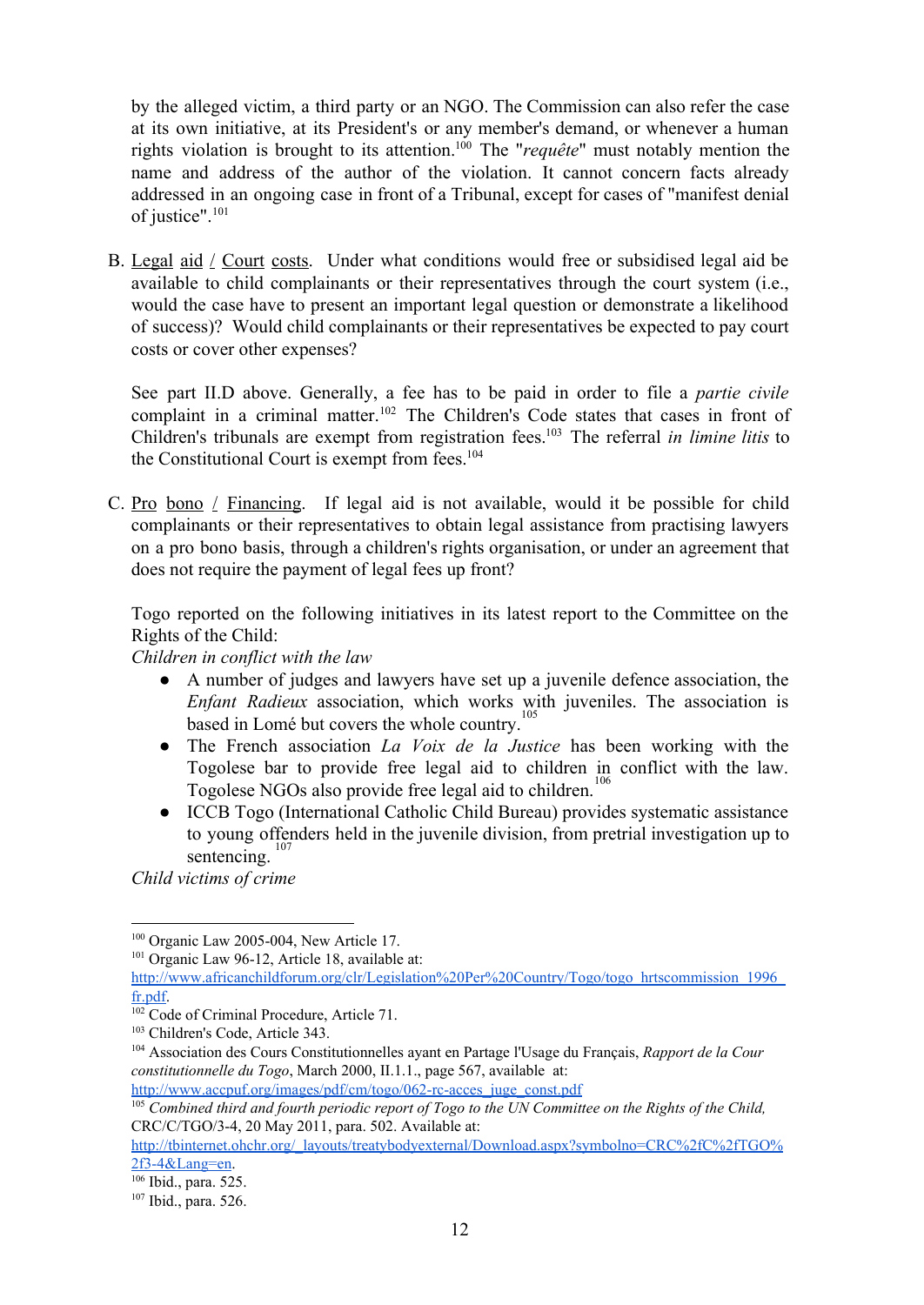by the alleged victim, a third party or an NGO. The Commission can also refer the case at its own initiative, at its President's or any member's demand, or whenever a human rights violation is brought to its attention.<sup>100</sup> The "*requête*" must notably mention the name and address of the author of the violation. It cannot concern facts already addressed in an ongoing case in front of a Tribunal, except for cases of "manifest denial of justice". 101

B. Legal aid / Court costs. Under what conditions would free or subsidised legal aid be available to child complainants or their representatives through the court system (i.e., would the case have to present an important legal question or demonstrate a likelihood of success)? Would child complainants or their representatives be expected to pay court costs or cover other expenses?

See part II.D above. Generally, a fee has to be paid in order to file a *partie civile* complaint in a criminal matter.<sup>102</sup> The Children's Code states that cases in front of Children's tribunals are exempt from registration fees.<sup>103</sup> The referral *in limine litis* to the Constitutional Court is exempt from fees. 104

C. Pro bono  $\ell$  Financing. If legal aid is not available, would it be possible for child complainants or their representatives to obtain legal assistance from practising lawyers on a pro bono basis, through a children's rights organisation, or under an agreement that does not require the payment of legal fees up front?

Togo reported on the following initiatives in its latest report to the Committee on the Rights of the Child:

*Children in conflict with the law*

- A number of judges and lawyers have set up a juvenile defence association, the *Enfant Radieux* association, which works with juveniles. The association is based in Lomé but covers the whole country.<sup>105</sup>
- The French association *La Voix de la Justice* has been working with the Togolese bar to provide free legal aid to children in conflict with the law. Togolese NGOs also provide free legal aid to children. 106
- ICCB Togo (International Catholic Child Bureau) provides systematic assistance to young offenders held in the juvenile division, from pretrial investigation up to sentencing. 107

*Child victims of crime*

<sup>101</sup> Organic Law 96-12, Article 18, available at:

http://www.accpuf.org/images/pdf/cm/togo/062-rc-acces\_juge\_const.pdf

 $100$  Organic Law 2005-004, New Article 17.

[http://www.africanchildforum.org/clr/Legislation%20Per%20Country/Togo/togo\\_hrtscommission\\_1996\\_](http://www.africanchildforum.org/clr/Legislation%20Per%20Country/Togo/togo_hrtscommission_1996_fr.pdf) [fr.pdf.](http://www.africanchildforum.org/clr/Legislation%20Per%20Country/Togo/togo_hrtscommission_1996_fr.pdf)

<sup>&</sup>lt;sup>102</sup> Code of Criminal Procedure, Article 71.

<sup>103</sup> Children's Code, Article 343.

<sup>104</sup> Association des Cours Constitutionnelles ayant en Partage l'Usage du Français, *Rapport de la Cour constitutionnelle du Togo*, March 2000, II.1.1., page 567, available at:

<sup>&</sup>lt;sup>105</sup> Combined third and fourth periodic report of Togo to the UN Committee on the Rights of the Child, CRC/C/TGO/34, 20 May 2011, para. 502. Available at:

[http://tbinternet.ohchr.org/\\_layouts/treatybodyexternal/Download.aspx?symbolno=CRC%2fC%2fTGO%](http://tbinternet.ohchr.org/_layouts/treatybodyexternal/Download.aspx?symbolno=CRC%2fC%2fTGO%2f3-4&Lang=en) [2f34&Lang=en.](http://tbinternet.ohchr.org/_layouts/treatybodyexternal/Download.aspx?symbolno=CRC%2fC%2fTGO%2f3-4&Lang=en)

<sup>106</sup> Ibid., para. 525.

<sup>107</sup> Ibid., para. 526.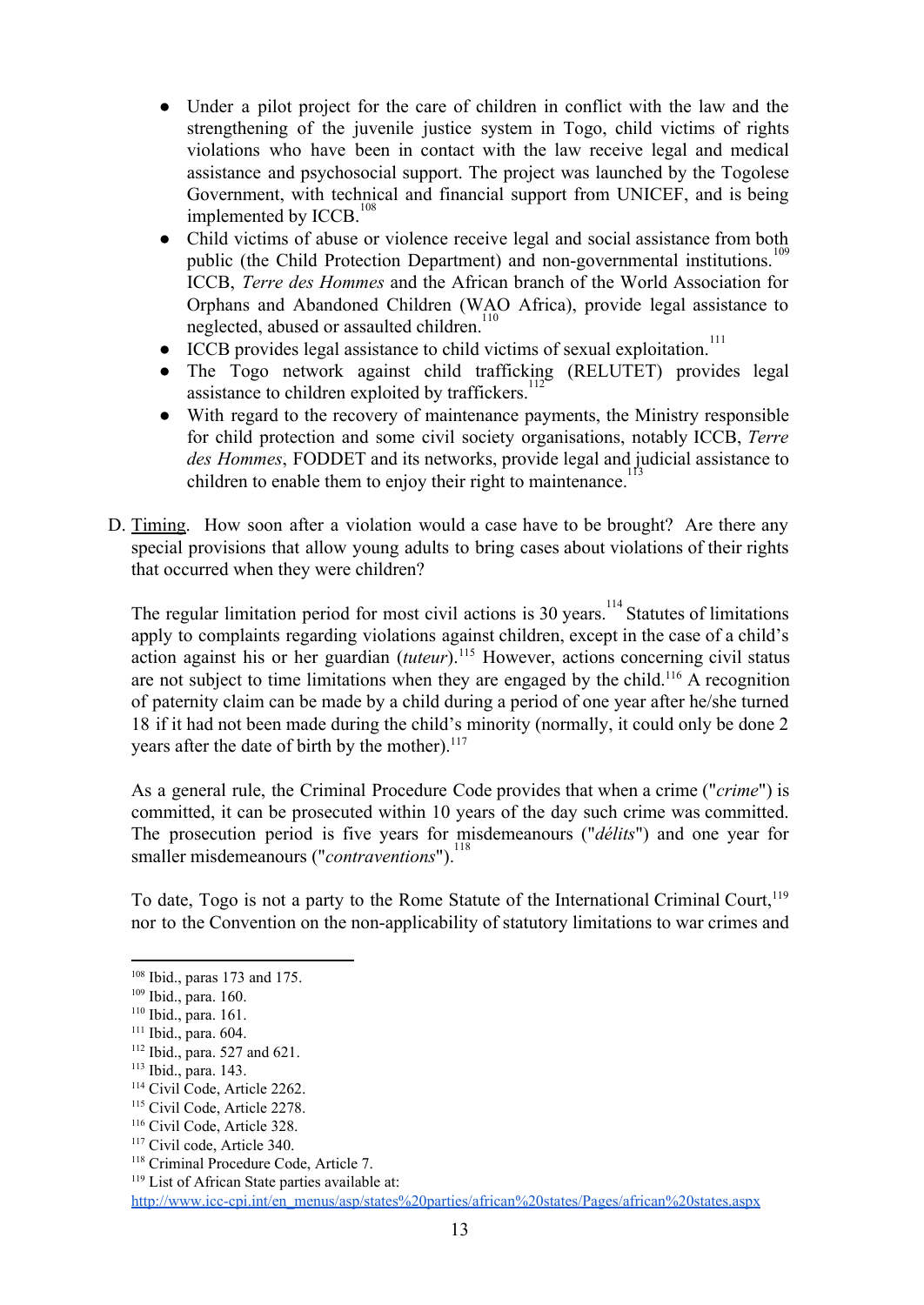- Under a pilot project for the care of children in conflict with the law and the strengthening of the juvenile justice system in Togo, child victims of rights violations who have been in contact with the law receive legal and medical assistance and psychosocial support. The project was launched by the Togolese Government, with technical and financial support from UNICEF, and is being implemented by ICCB.<sup>108</sup>
- Child victims of abuse or violence receive legal and social assistance from both public (the Child Protection Department) and non-governmental institutions.<sup>109</sup> ICCB, *Terre des Hommes* and the African branch of the World Association for Orphans and Abandoned Children (WAO Africa), provide legal assistance to neglected, abused or assaulted children.<sup>110</sup>
- ICCB provides legal assistance to child victims of sexual exploitation.<sup>111</sup>
- The Togo network against child trafficking (RELUTET) provides legal assistance to children exploited by traffickers.<sup>112</sup>
- With regard to the recovery of maintenance payments, the Ministry responsible for child protection and some civil society organisations, notably ICCB, *Terre des Hommes*, FODDET and its networks, provide legal and judicial assistance to children to enable them to enjoy their right to maintenance.<sup>113</sup>
- D. Timing. How soon after a violation would a case have to be brought? Are there any special provisions that allow young adults to bring cases about violations of their rights that occurred when they were children?

The regular limitation period for most civil actions is 30 years.<sup>114</sup> Statutes of limitations apply to complaints regarding violations against children, except in the case of a child's action against his or her guardian (tuteur).<sup>115</sup> However, actions concerning civil status are not subject to time limitations when they are engaged by the child.<sup>116</sup> A recognition of paternity claim can be made by a child during a period of one year after he/she turned 18 if it had not been made during the child's minority (normally, it could only be done 2 years after the date of birth by the mother).<sup>117</sup>

As a general rule, the Criminal Procedure Code provides that when a crime ("*crime*") is committed, it can be prosecuted within 10 years of the day such crime was committed. The prosecution period is five years for misdemeanours ("*délits*") and one year for smaller misdemeanours ("*contraventions*"). 118

To date, Togo is not a party to the Rome Statute of the International Criminal Court,<sup>119</sup> nor to the Convention on the non-applicability of statutory limitations to war crimes and

<sup>108</sup> Ibid., paras 173 and 175.

<sup>109</sup> Ibid., para. 160.

<sup>110</sup> Ibid., para. 161.

<sup>111</sup> Ibid., para. 604.

<sup>112</sup> Ibid., para. 527 and 621.

<sup>113</sup> Ibid., para. 143.

<sup>114</sup> Civil Code, Article 2262.

<sup>&</sup>lt;sup>115</sup> Civil Code, Article 2278.

<sup>116</sup> Civil Code, Article 328.

<sup>117</sup> Civil code, Article 340.

<sup>118</sup> Criminal Procedure Code, Article 7.

<sup>&</sup>lt;sup>119</sup> List of African State parties available at:

http://www.icc-cpi.int/en\_menus/asp/states%20parties/african%20states/Pages/african%20states.aspx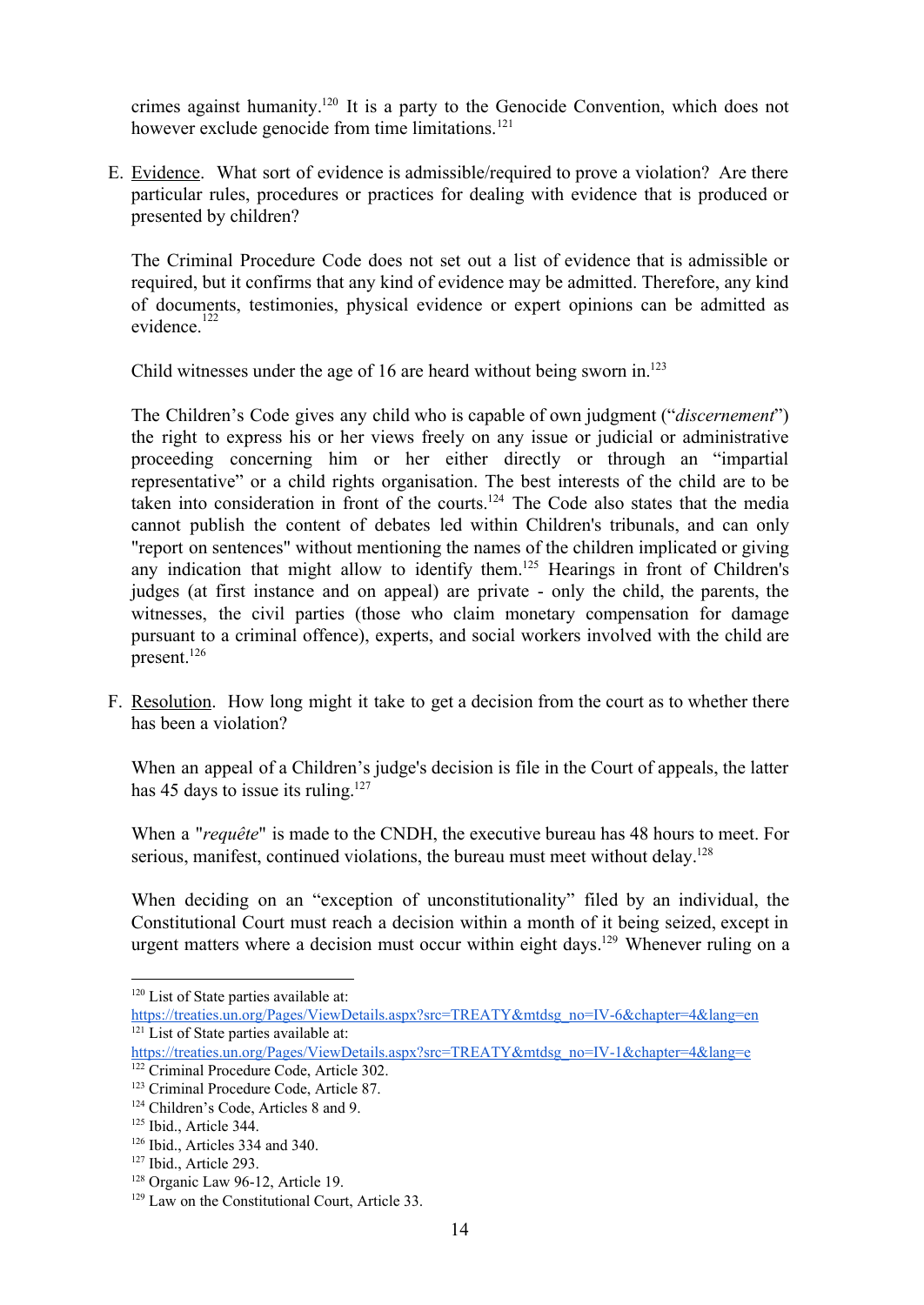crimes against humanity.<sup>120</sup> It is a party to the Genocide Convention, which does not however exclude genocide from time limitations. 121

E. Evidence. What sort of evidence is admissible/required to prove a violation? Are there particular rules, procedures or practices for dealing with evidence that is produced or presented by children?

The Criminal Procedure Code does not set out a list of evidence that is admissible or required, but it confirms that any kind of evidence may be admitted. Therefore, any kind of documents, testimonies, physical evidence or expert opinions can be admitted as evidence. 122

Child witnesses under the age of 16 are heard without being sworn in. 123

The Children's Code gives any child who is capable of own judgment ("*discernement*") the right to express his or her views freely on any issue or judicial or administrative proceeding concerning him or her either directly or through an "impartial representative" or a child rights organisation. The best interests of the child are to be taken into consideration in front of the courts.<sup>124</sup> The Code also states that the media cannot publish the content of debates led within Children's tribunals, and can only "report on sentences" without mentioning the names of the children implicated or giving any indication that might allow to identify them.<sup>125</sup> Hearings in front of Children's judges (at first instance and on appeal) are private - only the child, the parents, the witnesses, the civil parties (those who claim monetary compensation for damage pursuant to a criminal offence), experts, and social workers involved with the child are present. 126

F. Resolution. How long might it take to get a decision from the court as to whether there has been a violation?

When an appeal of a Children's judge's decision is file in the Court of appeals, the latter has 45 days to issue its ruling.<sup>127</sup>

When a "*requête*" is made to the CNDH, the executive bureau has 48 hours to meet. For serious, manifest, continued violations, the bureau must meet without delay.<sup>128</sup>

When deciding on an "exception of unconstitutionality" filed by an individual, the Constitutional Court must reach a decision within a month of it being seized, except in urgent matters where a decision must occur within eight days.<sup>129</sup> Whenever ruling on a

<sup>&</sup>lt;sup>120</sup> List of State parties available at:

https://treaties.un.org/Pages/ViewDetails.aspx?src=TREATY&mtdsg\_no=IV-6&chapter=4&lang=en <sup>121</sup> List of State parties available at:

https://treaties.un.org/Pages/ViewDetails.aspx?src=TREATY&mtdsg\_no=IV-1&chapter=4&lang=e

<sup>122</sup> Criminal Procedure Code, Article 302.

<sup>123</sup> Criminal Procedure Code, Article 87.

<sup>124</sup> Children's Code, Articles 8 and 9.

<sup>125</sup> Ibid., Article 344.

<sup>126</sup> Ibid., Articles 334 and 340.

<sup>127</sup> Ibid., Article 293.

<sup>&</sup>lt;sup>128</sup> Organic Law 96-12, Article 19.

<sup>129</sup> Law on the Constitutional Court, Article 33.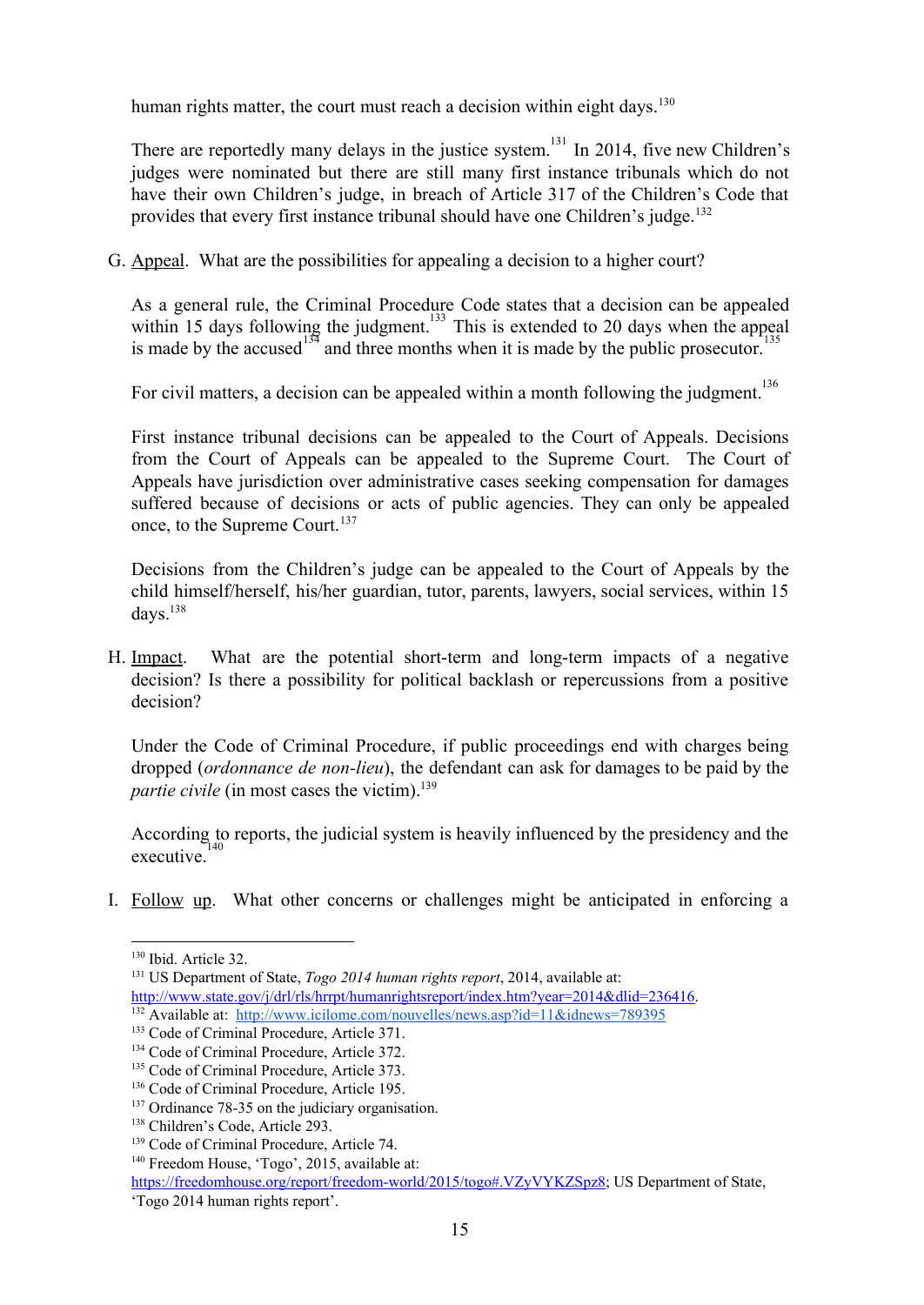human rights matter, the court must reach a decision within eight days.<sup>130</sup>

There are reportedly many delays in the justice system.<sup>131</sup> In 2014, five new Children's judges were nominated but there are still many first instance tribunals which do not have their own Children's judge, in breach of Article 317 of the Children's Code that provides that every first instance tribunal should have one Children's judge.<sup>132</sup>

G. Appeal. What are the possibilities for appealing a decision to a higher court?

As a general rule, the Criminal Procedure Code states that a decision can be appealed within 15 days following the judgment.<sup>133</sup> This is extended to 20 days when the appeal is made by the accused  $134$  and three months when it is made by the public prosecutor.

For civil matters, a decision can be appealed within a month following the judgment.<sup>136</sup>

First instance tribunal decisions can be appealed to the Court of Appeals. Decisions from the Court of Appeals can be appealed to the Supreme Court. The Court of Appeals have jurisdiction over administrative cases seeking compensation for damages suffered because of decisions or acts of public agencies. They can only be appealed once, to the Supreme Court. 137

Decisions from the Children's judge can be appealed to the Court of Appeals by the child himself/herself, his/her guardian, tutor, parents, lawyers, social services, within 15 days. 138

H. Impact. What are the potential short-term and long-term impacts of a negative decision? Is there a possibility for political backlash or repercussions from a positive decision?

Under the Code of Criminal Procedure, if public proceedings end with charges being dropped (*ordonnance de non-lieu*), the defendant can ask for damages to be paid by the *partie civile* (in most cases the victim). 139

According to reports, the judicial system is heavily influenced by the presidency and the executive. 140

I. Follow up. What other concerns or challenges might be anticipated in enforcing a

<sup>132</sup> Available at: <http://www.icilome.com/nouvelles/news.asp?id=11&idnews=789395>

<sup>130</sup> Ibid. Article 32.

<sup>131</sup> US Department of State, *Togo 2014 human rights report*, 2014, available at: [http://www.state.gov/j/drl/rls/hrrpt/humanrightsreport/index.htm?year=2014&dlid=236416.](http://www.state.gov/j/drl/rls/hrrpt/humanrightsreport/index.htm?year=2014&dlid=236416)

<sup>133</sup> Code of Criminal Procedure, Article 371.

<sup>&</sup>lt;sup>134</sup> Code of Criminal Procedure, Article 372.

<sup>&</sup>lt;sup>135</sup> Code of Criminal Procedure, Article 373.

<sup>&</sup>lt;sup>136</sup> Code of Criminal Procedure, Article 195.

 $137$  Ordinance 78-35 on the judiciary organisation.

<sup>138</sup> Children's Code, Article 293.

<sup>&</sup>lt;sup>139</sup> Code of Criminal Procedure, Article 74.

<sup>140</sup> Freedom House, 'Togo', 2015, available at:

https://freedomhouse.org/report/freedom-world/2015/togo#.VZyVYKZSpz8; US Department of State, 'Togo 2014 human rights report'.